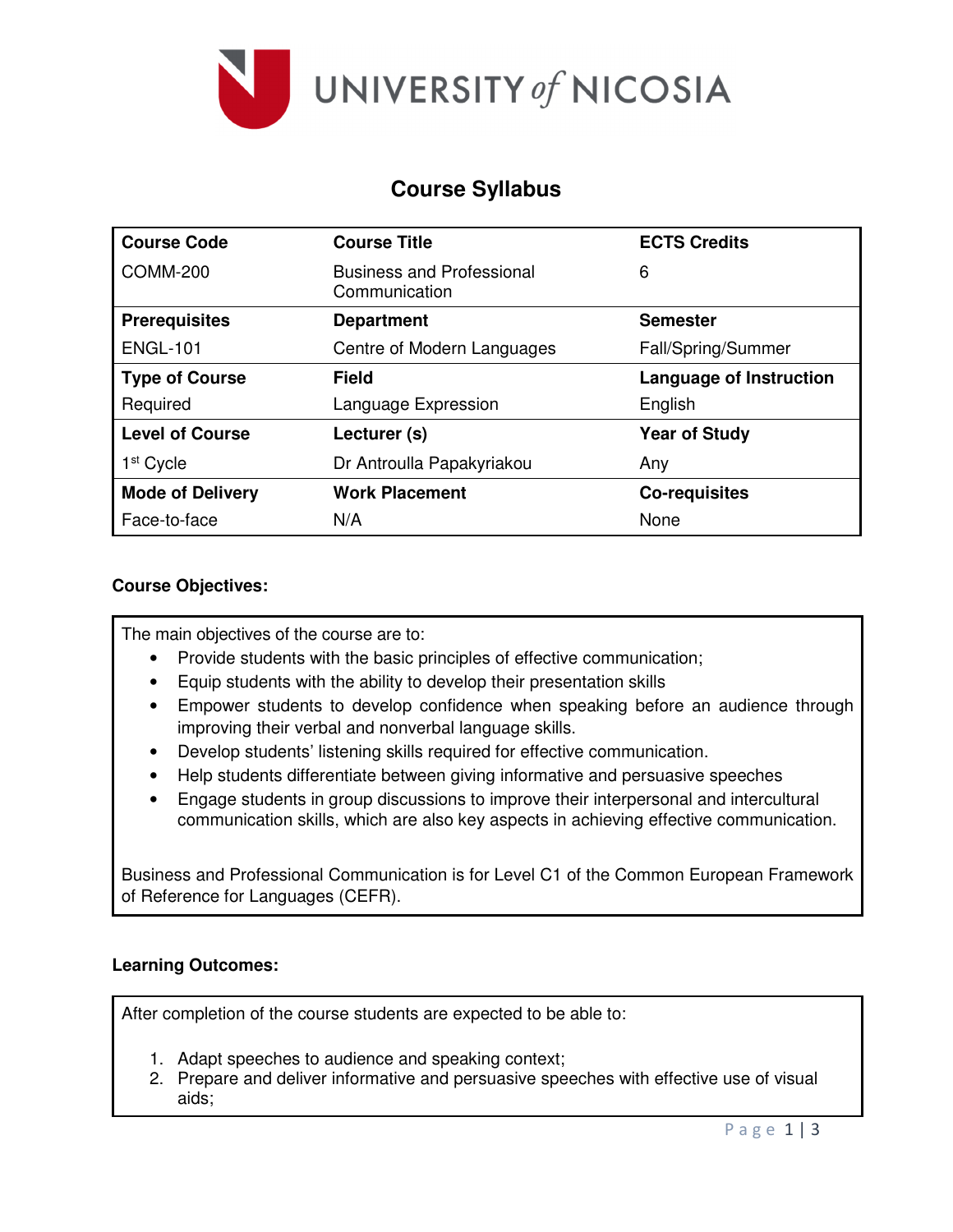

# **Course Syllabus**

| <b>Course Code</b>      | <b>Course Title</b>                               | <b>ECTS Credits</b>            |  |
|-------------------------|---------------------------------------------------|--------------------------------|--|
| <b>COMM-200</b>         | <b>Business and Professional</b><br>Communication | 6                              |  |
| <b>Prerequisites</b>    | <b>Department</b>                                 | <b>Semester</b>                |  |
| <b>ENGL-101</b>         | Centre of Modern Languages                        | Fall/Spring/Summer             |  |
| <b>Type of Course</b>   | <b>Field</b>                                      | <b>Language of Instruction</b> |  |
| Required                | Language Expression                               | English                        |  |
| <b>Level of Course</b>  | Lecturer (s)                                      | <b>Year of Study</b>           |  |
| 1 <sup>st</sup> Cycle   | Dr Antroulla Papakyriakou                         | Any                            |  |
| <b>Mode of Delivery</b> | <b>Work Placement</b>                             | <b>Co-requisites</b>           |  |
| Face-to-face            | N/A                                               | None                           |  |

### **Course Objectives:**

The main objectives of the course are to:

- Provide students with the basic principles of effective communication;
- Equip students with the ability to develop their presentation skills
- Empower students to develop confidence when speaking before an audience through improving their verbal and nonverbal language skills.
- Develop students' listening skills required for effective communication.
- Help students differentiate between giving informative and persuasive speeches
- Engage students in group discussions to improve their interpersonal and intercultural communication skills, which are also key aspects in achieving effective communication.

Business and Professional Communication is for Level C1 of the Common European Framework of Reference for Languages (CEFR).

## **Learning Outcomes:**

After completion of the course students are expected to be able to:

- 1. Adapt speeches to audience and speaking context;
- 2. Prepare and deliver informative and persuasive speeches with effective use of visual aids;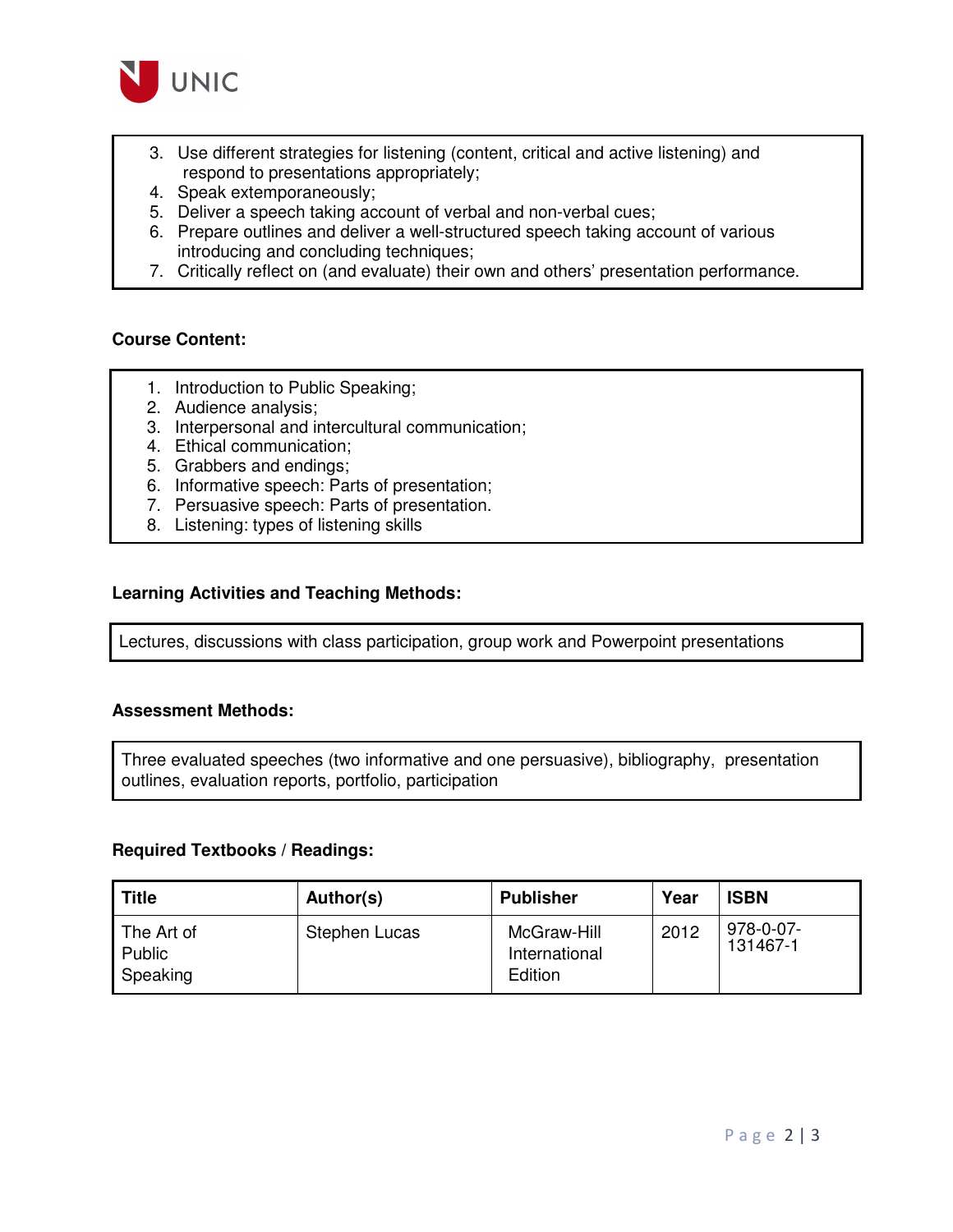

- 3. Use different strategies for listening (content, critical and active listening) and respond to presentations appropriately;
- 4. Speak extemporaneously;
- 5. Deliver a speech taking account of verbal and non-verbal cues;
- 6. Prepare outlines and deliver a well-structured speech taking account of various introducing and concluding techniques;
- 7. Critically reflect on (and evaluate) their own and others' presentation performance.

#### **Course Content:**

- 1. Introduction to Public Speaking;
- 2. Audience analysis;
- 3. Interpersonal and intercultural communication;
- 4. Ethical communication;
- 5. Grabbers and endings;
- 6. Informative speech: Parts of presentation;
- 7. Persuasive speech: Parts of presentation.
- 8. Listening: types of listening skills

#### **Learning Activities and Teaching Methods:**

Lectures, discussions with class participation, group work and Powerpoint presentations

#### **Assessment Methods:**

Three evaluated speeches (two informative and one persuasive), bibliography, presentation outlines, evaluation reports, portfolio, participation

#### **Required Textbooks / Readings:**

| <b>Title</b>                     | Author(s)     | <b>Publisher</b>                        | Year | <b>ISBN</b>           |
|----------------------------------|---------------|-----------------------------------------|------|-----------------------|
| The Art of<br>Public<br>Speaking | Stephen Lucas | McGraw-Hill<br>International<br>Edition | 2012 | 978-0-07-<br>131467-1 |